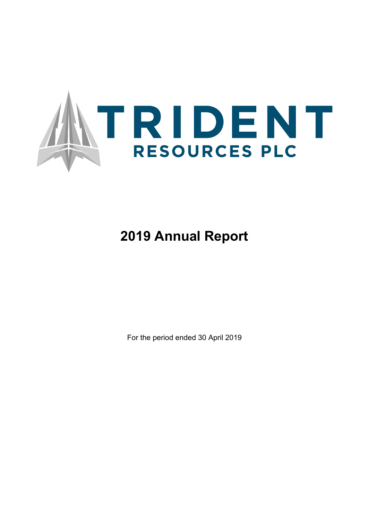

# **2019 Annual Report**

For the period ended 30 April 2019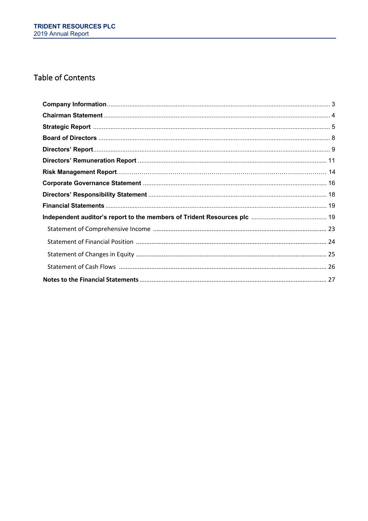# **Table of Contents**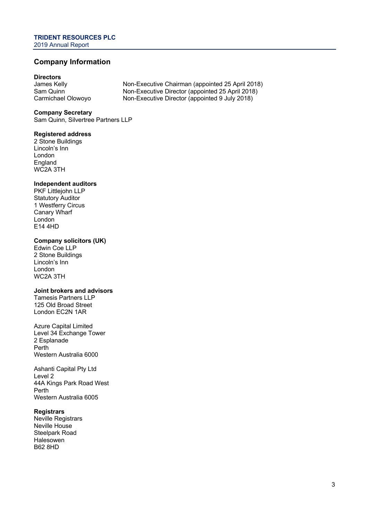# **Company Information**

#### **Directors**

James Kelly **Non-Executive Chairman (appointed 25 April 2018)** Sam Quinn<br>
Carmichael Olowoyo Mon-Executive Director (appointed 25 April 2018)<br>
Non-Executive Director (appointed 9 July 2018) Non-Executive Director (appointed 9 July 2018)

#### **Company Secretary**

Sam Quinn, Silvertree Partners LLP

#### **Registered address**

2 Stone Buildings Lincoln's Inn London England WC2A 3TH

#### **Independent auditors**

PKF Littlejohn LLP Statutory Auditor 1 Westferry Circus Canary Wharf London E14 4HD

# **Company solicitors (UK)**

Edwin Coe LLP 2 Stone Buildings Lincoln's Inn London WC2A 3TH

# **Joint brokers and advisors**

Tamesis Partners LLP 125 Old Broad Street London EC2N 1AR

Azure Capital Limited Level 34 Exchange Tower 2 Esplanade Perth Western Australia 6000

Ashanti Capital Pty Ltd Level 2 44A Kings Park Road West Perth Western Australia 6005

#### **Registrars**

Neville Registrars Neville House Steelpark Road Halesowen B62 8HD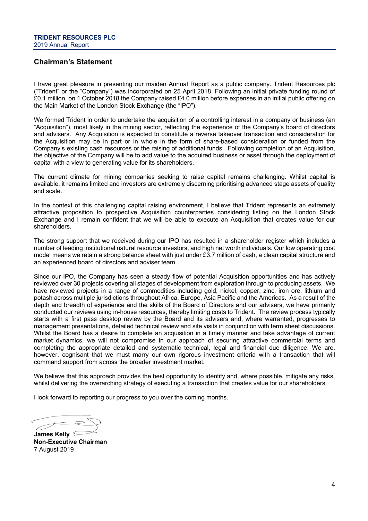# **Chairman's Statement**

I have great pleasure in presenting our maiden Annual Report as a public company. Trident Resources plc ("Trident" or the "Company") was incorporated on 25 April 2018. Following an initial private funding round of £0.1 million, on 1 October 2018 the Company raised £4.0 million before expenses in an initial public offering on the Main Market of the London Stock Exchange (the "IPO").

We formed Trident in order to undertake the acquisition of a controlling interest in a company or business (an "Acquisition"), most likely in the mining sector, reflecting the experience of the Company's board of directors and advisers. Any Acquisition is expected to constitute a reverse takeover transaction and consideration for the Acquisition may be in part or in whole in the form of share-based consideration or funded from the Company's existing cash resources or the raising of additional funds. Following completion of an Acquisition, the objective of the Company will be to add value to the acquired business or asset through the deployment of capital with a view to generating value for its shareholders.

The current climate for mining companies seeking to raise capital remains challenging. Whilst capital is available, it remains limited and investors are extremely discerning prioritising advanced stage assets of quality and scale.

In the context of this challenging capital raising environment, I believe that Trident represents an extremely attractive proposition to prospective Acquisition counterparties considering listing on the London Stock Exchange and I remain confident that we will be able to execute an Acquisition that creates value for our shareholders.

The strong support that we received during our IPO has resulted in a shareholder register which includes a number of leading institutional natural resource investors, and high net worth individuals. Our low operating cost model means we retain a strong balance sheet with just under £3.7 million of cash, a clean capital structure and an experienced board of directors and adviser team.

Since our IPO, the Company has seen a steady flow of potential Acquisition opportunities and has actively reviewed over 30 projects covering all stages of development from exploration through to producing assets. We have reviewed projects in a range of commodities including gold, nickel, copper, zinc, iron ore, lithium and potash across multiple jurisdictions throughout Africa, Europe, Asia Pacific and the Americas. As a result of the depth and breadth of experience and the skills of the Board of Directors and our advisers, we have primarily conducted our reviews using in-house resources, thereby limiting costs to Trident. The review process typically starts with a first pass desktop review by the Board and its advisers and, where warranted, progresses to management presentations, detailed technical review and site visits in conjunction with term sheet discussions. Whilst the Board has a desire to complete an acquisition in a timely manner and take advantage of current market dynamics, we will not compromise in our approach of securing attractive commercial terms and completing the appropriate detailed and systematic technical, legal and financial due diligence. We are, however, cognisant that we must marry our own rigorous investment criteria with a transaction that will command support from across the broader investment market.

We believe that this approach provides the best opportunity to identify and, where possible, mitigate any risks, whilst delivering the overarching strategy of executing a transaction that creates value for our shareholders.

I look forward to reporting our progress to you over the coming months.

**James Kelly Non-Executive Chairman** 7 August 2019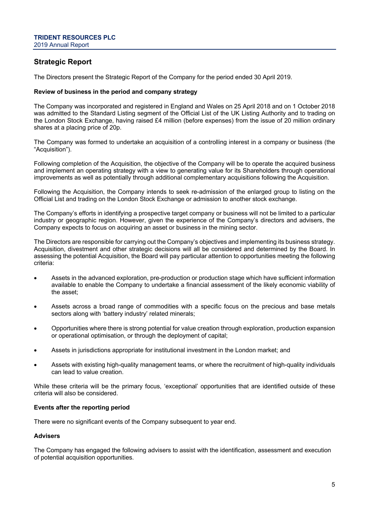# **Strategic Report**

The Directors present the Strategic Report of the Company for the period ended 30 April 2019.

#### **Review of business in the period and company strategy**

The Company was incorporated and registered in England and Wales on 25 April 2018 and on 1 October 2018 was admitted to the Standard Listing segment of the Official List of the UK Listing Authority and to trading on the London Stock Exchange, having raised £4 million (before expenses) from the issue of 20 million ordinary shares at a placing price of 20p.

The Company was formed to undertake an acquisition of a controlling interest in a company or business (the "Acquisition").

Following completion of the Acquisition, the objective of the Company will be to operate the acquired business and implement an operating strategy with a view to generating value for its Shareholders through operational improvements as well as potentially through additional complementary acquisitions following the Acquisition.

Following the Acquisition, the Company intends to seek re-admission of the enlarged group to listing on the Official List and trading on the London Stock Exchange or admission to another stock exchange.

The Company's efforts in identifying a prospective target company or business will not be limited to a particular industry or geographic region. However, given the experience of the Company's directors and advisers, the Company expects to focus on acquiring an asset or business in the mining sector.

The Directors are responsible for carrying out the Company's objectives and implementing its business strategy. Acquisition, divestment and other strategic decisions will all be considered and determined by the Board. In assessing the potential Acquisition, the Board will pay particular attention to opportunities meeting the following criteria:

- Assets in the advanced exploration, pre-production or production stage which have sufficient information available to enable the Company to undertake a financial assessment of the likely economic viability of the asset;
- Assets across a broad range of commodities with a specific focus on the precious and base metals sectors along with 'battery industry' related minerals;
- Opportunities where there is strong potential for value creation through exploration, production expansion or operational optimisation, or through the deployment of capital;
- Assets in jurisdictions appropriate for institutional investment in the London market; and
- Assets with existing high-quality management teams, or where the recruitment of high-quality individuals can lead to value creation.

While these criteria will be the primary focus, 'exceptional' opportunities that are identified outside of these criteria will also be considered.

#### **Events after the reporting period**

There were no significant events of the Company subsequent to year end.

#### **Advisers**

The Company has engaged the following advisers to assist with the identification, assessment and execution of potential acquisition opportunities.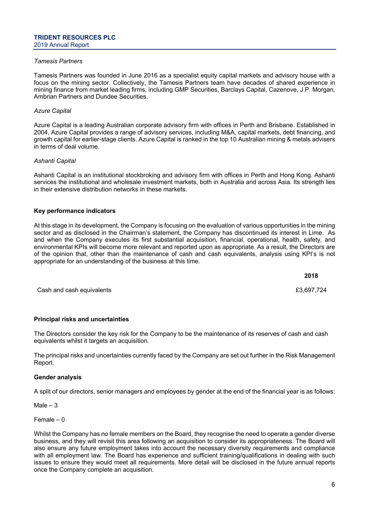#### *Tamesis Partners*

Tamesis Partners was founded in June 2016 as a specialist equity capital markets and advisory house with a focus on the mining sector. Collectively, the Tamesis Partners team have decades of shared experience in mining finance from market leading firms, including GMP Securities, Barclays Capital, Cazenove, J.P. Morgan, Ambrian Partners and Dundee Securities.

#### *Azure Capital*

Azure Capital is a leading Australian corporate advisory firm with offices in Perth and Brisbane. Established in 2004, Azure Capital provides a range of advisory services, including M&A, capital markets, debt financing, and growth capital for earlier-stage clients. Azure Capital is ranked in the top 10 Australian mining & metals advisers in terms of deal volume.

#### *Ashanti Capital*

Ashanti Capital is an institutional stockbroking and advisory firm with offices in Perth and Hong Kong. Ashanti services the institutional and wholesale investment markets, both in Australia and across Asia. Its strength lies in their extensive distribution networks in these markets.

#### **Key performance indicators**

At this stage in its development, the Company is focusing on the evaluation of various opportunities in the mining sector and as disclosed in the Chairman's statement, the Company has discontinued its interest in Lime. As and when the Company executes its first substantial acquisition, financial, operational, health, safety, and environmental KPIs will become more relevant and reported upon as appropriate. As a result, the Directors are of the opinion that, other than the maintenance of cash and cash equivalents, analysis using KPI's is not appropriate for an understanding of the business at this time.

|                           | 2018       |
|---------------------------|------------|
| Cash and cash equivalents | £3,697,724 |

# **Principal risks and uncertainties**

The Directors consider the key risk for the Company to be the maintenance of its reserves of cash and cash equivalents whilst it targets an acquisition.

The principal risks and uncertainties currently faced by the Company are set out further in the Risk Management Report.

#### **Gender analysis**

A split of our directors, senior managers and employees by gender at the end of the financial year is as follows:

Male – 3

Female – 0

Whilst the Company has no female members on the Board, they recognise the need to operate a gender diverse business, and they will revisit this area following an acquisition to consider its appropriateness. The Board will also ensure any future employment takes into account the necessary diversity requirements and compliance with all employment law. The Board has experience and sufficient training/qualifications in dealing with such issues to ensure they would meet all requirements. More detail will be disclosed in the future annual reports once the Company complete an acquisition.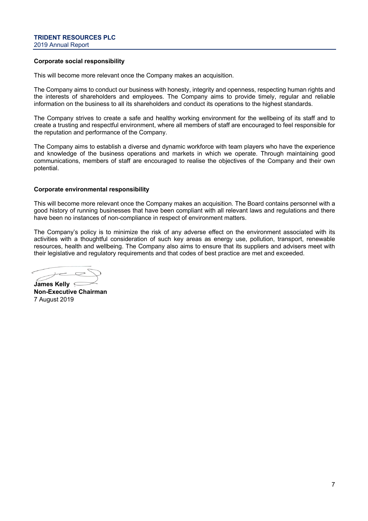#### **Corporate social responsibility**

This will become more relevant once the Company makes an acquisition.

The Company aims to conduct our business with honesty, integrity and openness, respecting human rights and the interests of shareholders and employees. The Company aims to provide timely, regular and reliable information on the business to all its shareholders and conduct its operations to the highest standards.

The Company strives to create a safe and healthy working environment for the wellbeing of its staff and to create a trusting and respectful environment, where all members of staff are encouraged to feel responsible for the reputation and performance of the Company.

The Company aims to establish a diverse and dynamic workforce with team players who have the experience and knowledge of the business operations and markets in which we operate. Through maintaining good communications, members of staff are encouraged to realise the objectives of the Company and their own potential.

#### **Corporate environmental responsibility**

This will become more relevant once the Company makes an acquisition. The Board contains personnel with a good history of running businesses that have been compliant with all relevant laws and regulations and there have been no instances of non-compliance in respect of environment matters.

The Company's policy is to minimize the risk of any adverse effect on the environment associated with its activities with a thoughtful consideration of such key areas as energy use, pollution, transport, renewable resources, health and wellbeing. The Company also aims to ensure that its suppliers and advisers meet with their legislative and regulatory requirements and that codes of best practice are met and exceeded.

**James Kelly Non-Executive Chairman** 7 August 2019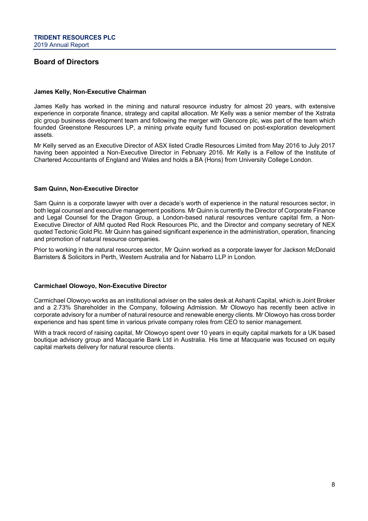# **Board of Directors**

#### **James Kelly, Non-Executive Chairman**

James Kelly has worked in the mining and natural resource industry for almost 20 years, with extensive experience in corporate finance, strategy and capital allocation. Mr Kelly was a senior member of the Xstrata plc group business development team and following the merger with Glencore plc, was part of the team which founded Greenstone Resources LP, a mining private equity fund focused on post-exploration development assets.

Mr Kelly served as an Executive Director of ASX listed Cradle Resources Limited from May 2016 to July 2017 having been appointed a Non-Executive Director in February 2016. Mr Kelly is a Fellow of the Institute of Chartered Accountants of England and Wales and holds a BA (Hons) from University College London.

#### **Sam Quinn, Non-Executive Director**

Sam Quinn is a corporate lawyer with over a decade's worth of experience in the natural resources sector, in both legal counsel and executive management positions. Mr Quinn is currently the Director of Corporate Finance and Legal Counsel for the Dragon Group, a London-based natural resources venture capital firm, a Non-Executive Director of AIM quoted Red Rock Resources Plc, and the Director and company secretary of NEX quoted Tectonic Gold Plc. Mr Quinn has gained significant experience in the administration, operation, financing and promotion of natural resource companies.

Prior to working in the natural resources sector, Mr Quinn worked as a corporate lawyer for Jackson McDonald Barristers & Solicitors in Perth, Western Australia and for Nabarro LLP in London.

# **Carmichael Olowoyo, Non-Executive Director**

Carmichael Olowoyo works as an institutional adviser on the sales desk at Ashanti Capital, which is Joint Broker and a 2.73% Shareholder in the Company, following Admission. Mr Olowoyo has recently been active in corporate advisory for a number of natural resource and renewable energy clients. Mr Olowoyo has cross border experience and has spent time in various private company roles from CEO to senior management.

With a track record of raising capital, Mr Olowoyo spent over 10 years in equity capital markets for a UK based boutique advisory group and Macquarie Bank Ltd in Australia. His time at Macquarie was focused on equity capital markets delivery for natural resource clients.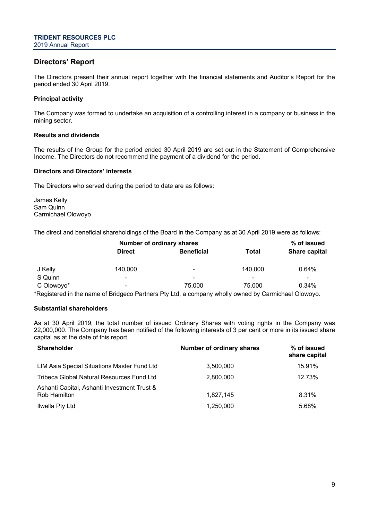# **Directors' Report**

The Directors present their annual report together with the financial statements and Auditor's Report for the period ended 30 April 2019.

#### **Principal activity**

The Company was formed to undertake an acquisition of a controlling interest in a company or business in the mining sector.

#### **Results and dividends**

The results of the Group for the period ended 30 April 2019 are set out in the Statement of Comprehensive Income. The Directors do not recommend the payment of a dividend for the period.

#### **Directors and Directors' interests**

The Directors who served during the period to date are as follows:

James Kelly Sam Quinn Carmichael Olowoyo

The direct and beneficial shareholdings of the Board in the Company as at 30 April 2019 were as follows:

|            | <b>Number of ordinary shares</b> |                          |                          | % of issued              |
|------------|----------------------------------|--------------------------|--------------------------|--------------------------|
|            | <b>Direct</b>                    | <b>Beneficial</b>        | Total                    | Share capital            |
|            |                                  |                          |                          |                          |
| J Kelly    | 140,000                          |                          | 140,000                  | 0.64%                    |
| S Quinn    | $\overline{\phantom{0}}$         | $\overline{\phantom{0}}$ | $\overline{\phantom{a}}$ | $\overline{\phantom{0}}$ |
| C Olowoyo* | $\overline{\phantom{0}}$         | 75,000                   | 75,000                   | 0.34%                    |

\*Registered in the name of Bridgeco Partners Pty Ltd, a company wholly owned by Carmichael Olowoyo.

#### **Substantial shareholders**

As at 30 April 2019, the total number of issued Ordinary Shares with voting rights in the Company was 22,000,000. The Company has been notified of the following interests of 3 per cent or more in its issued share capital as at the date of this report.

| <b>Shareholder</b>                                          | <b>Number of ordinary shares</b> | % of issued<br>share capital |
|-------------------------------------------------------------|----------------------------------|------------------------------|
| LIM Asia Special Situations Master Fund Ltd                 | 3,500,000                        | 15.91%                       |
| Tribeca Global Natural Resources Fund Ltd                   | 2,800,000                        | 12.73%                       |
| Ashanti Capital, Ashanti Investment Trust &<br>Rob Hamilton | 1.827.145                        | 8.31%                        |
| Ilwella Pty Ltd                                             | 1,250,000                        | 5.68%                        |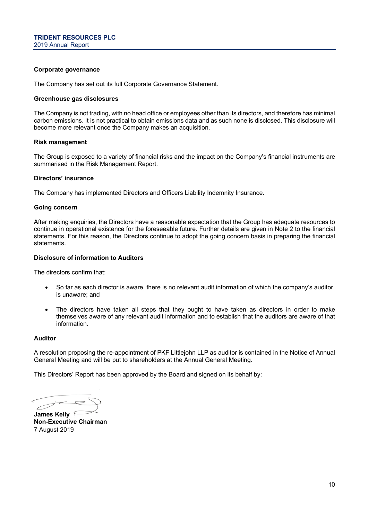#### **Corporate governance**

The Company has set out its full Corporate Governance Statement.

#### **Greenhouse gas disclosures**

The Company is not trading, with no head office or employees other than its directors, and therefore has minimal carbon emissions. It is not practical to obtain emissions data and as such none is disclosed. This disclosure will become more relevant once the Company makes an acquisition.

#### **Risk management**

The Group is exposed to a variety of financial risks and the impact on the Company's financial instruments are summarised in the Risk Management Report.

# **Directors' insurance**

The Company has implemented Directors and Officers Liability Indemnity Insurance.

#### **Going concern**

After making enquiries, the Directors have a reasonable expectation that the Group has adequate resources to continue in operational existence for the foreseeable future. Further details are given in Note 2 to the financial statements. For this reason, the Directors continue to adopt the going concern basis in preparing the financial statements.

#### **Disclosure of information to Auditors**

The directors confirm that:

- So far as each director is aware, there is no relevant audit information of which the company's auditor is unaware; and
- The directors have taken all steps that they ought to have taken as directors in order to make themselves aware of any relevant audit information and to establish that the auditors are aware of that information.

#### **Auditor**

A resolution proposing the re-appointment of PKF Littlejohn LLP as auditor is contained in the Notice of Annual General Meeting and will be put to shareholders at the Annual General Meeting.

This Directors' Report has been approved by the Board and signed on its behalf by:

**James Kelly Non-Executive Chairman** 7 August 2019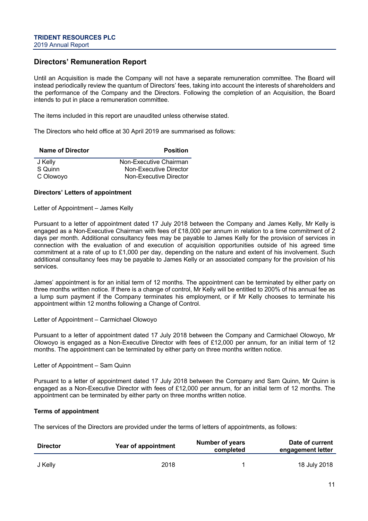# **Directors' Remuneration Report**

Until an Acquisition is made the Company will not have a separate remuneration committee. The Board will instead periodically review the quantum of Directors' fees, taking into account the interests of shareholders and the performance of the Company and the Directors. Following the completion of an Acquisition, the Board intends to put in place a remuneration committee.

The items included in this report are unaudited unless otherwise stated.

The Directors who held office at 30 April 2019 are summarised as follows:

| Name of Director | <b>Position</b>        |
|------------------|------------------------|
| J Kelly          | Non-Executive Chairman |
| S Quinn          | Non-Executive Director |
| C Olowoyo        | Non-Executive Director |

#### **Directors' Letters of appointment**

#### Letter of Appointment – James Kelly

Pursuant to a letter of appointment dated 17 July 2018 between the Company and James Kelly, Mr Kelly is engaged as a Non-Executive Chairman with fees of £18,000 per annum in relation to a time commitment of 2 days per month. Additional consultancy fees may be payable to James Kelly for the provision of services in connection with the evaluation of and execution of acquisition opportunities outside of his agreed time commitment at a rate of up to £1,000 per day, depending on the nature and extent of his involvement. Such additional consultancy fees may be payable to James Kelly or an associated company for the provision of his services.

James' appointment is for an initial term of 12 months. The appointment can be terminated by either party on three months written notice. If there is a change of control, Mr Kelly will be entitled to 200% of his annual fee as a lump sum payment if the Company terminates his employment, or if Mr Kelly chooses to terminate his appointment within 12 months following a Change of Control.

#### Letter of Appointment – Carmichael Olowoyo

Pursuant to a letter of appointment dated 17 July 2018 between the Company and Carmichael Olowoyo, Mr Olowoyo is engaged as a Non-Executive Director with fees of £12,000 per annum, for an initial term of 12 months. The appointment can be terminated by either party on three months written notice.

#### Letter of Appointment – Sam Quinn

Pursuant to a letter of appointment dated 17 July 2018 between the Company and Sam Quinn, Mr Quinn is engaged as a Non-Executive Director with fees of £12,000 per annum, for an initial term of 12 months. The appointment can be terminated by either party on three months written notice.

# **Terms of appointment**

The services of the Directors are provided under the terms of letters of appointments, as follows:

| <b>Director</b> | Year of appointment | Number of years<br>completed | Date of current<br>engagement letter |
|-----------------|---------------------|------------------------------|--------------------------------------|
| J Kelly         | 2018                |                              | 18 July 2018                         |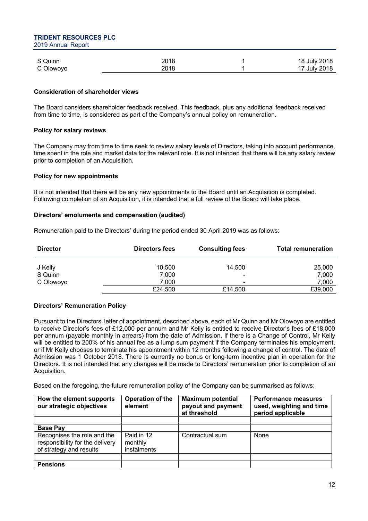| S Quinn   | 2018 | 18 July 2018 |
|-----------|------|--------------|
| C Olowoyo | 2018 | 17 July 2018 |

#### **Consideration of shareholder views**

The Board considers shareholder feedback received. This feedback, plus any additional feedback received from time to time, is considered as part of the Company's annual policy on remuneration.

#### **Policy for salary reviews**

The Company may from time to time seek to review salary levels of Directors, taking into account performance, time spent in the role and market data for the relevant role. It is not intended that there will be any salary review prior to completion of an Acquisition.

#### **Policy for new appointments**

It is not intended that there will be any new appointments to the Board until an Acquisition is completed. Following completion of an Acquisition, it is intended that a full review of the Board will take place.

#### **Directors' emoluments and compensation (audited)**

Remuneration paid to the Directors' during the period ended 30 April 2019 was as follows:

| <b>Director</b> | <b>Directors fees</b> | <b>Consulting fees</b>   | <b>Total remuneration</b> |
|-----------------|-----------------------|--------------------------|---------------------------|
| J Kelly         | 10,500                | 14,500                   | 25,000                    |
| S Quinn         | 7,000                 | $\overline{\phantom{0}}$ | 7,000                     |
| C Olowoyo       | 7,000                 | $\overline{\phantom{0}}$ | 7,000                     |
|                 | £24,500               | £14,500                  | £39,000                   |

# **Directors' Remuneration Policy**

Pursuant to the Directors' letter of appointment, described above, each of Mr Quinn and Mr Olowoyo are entitled to receive Director's fees of £12,000 per annum and Mr Kelly is entitled to receive Director's fees of £18,000 per annum (payable monthly in arrears) from the date of Admission. If there is a Change of Control, Mr Kelly will be entitled to 200% of his annual fee as a lump sum payment if the Company terminates his employment. or if Mr Kelly chooses to terminate his appointment within 12 months following a change of control. The date of Admission was 1 October 2018. There is currently no bonus or long-term incentive plan in operation for the Directors. It is not intended that any changes will be made to Directors' remuneration prior to completion of an Acquisition.

Based on the foregoing, the future remuneration policy of the Company can be summarised as follows:

| How the element supports<br>our strategic objectives                                      | <b>Operation of the</b><br>element   | <b>Maximum potential</b><br>payout and payment<br>at threshold | <b>Performance measures</b><br>used, weighting and time<br>period applicable |
|-------------------------------------------------------------------------------------------|--------------------------------------|----------------------------------------------------------------|------------------------------------------------------------------------------|
|                                                                                           |                                      |                                                                |                                                                              |
| <b>Base Pay</b>                                                                           |                                      |                                                                |                                                                              |
| Recognises the role and the<br>responsibility for the delivery<br>of strategy and results | Paid in 12<br>monthly<br>instalments | Contractual sum                                                | None                                                                         |
|                                                                                           |                                      |                                                                |                                                                              |
| <b>Pensions</b>                                                                           |                                      |                                                                |                                                                              |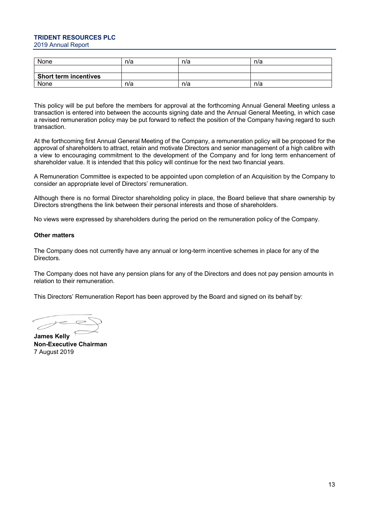#### **TRIDENT RESOURCES PLC** 2019 Annual Report

| None                         | n/a | n/a | n/a |
|------------------------------|-----|-----|-----|
|                              |     |     |     |
| <b>Short term incentives</b> |     |     |     |
| None                         | n/a | n/a | n/a |

This policy will be put before the members for approval at the forthcoming Annual General Meeting unless a transaction is entered into between the accounts signing date and the Annual General Meeting, in which case a revised remuneration policy may be put forward to reflect the position of the Company having regard to such transaction.

At the forthcoming first Annual General Meeting of the Company, a remuneration policy will be proposed for the approval of shareholders to attract, retain and motivate Directors and senior management of a high calibre with a view to encouraging commitment to the development of the Company and for long term enhancement of shareholder value. It is intended that this policy will continue for the next two financial years.

A Remuneration Committee is expected to be appointed upon completion of an Acquisition by the Company to consider an appropriate level of Directors' remuneration.

Although there is no formal Director shareholding policy in place, the Board believe that share ownership by Directors strengthens the link between their personal interests and those of shareholders.

No views were expressed by shareholders during the period on the remuneration policy of the Company.

#### **Other matters**

The Company does not currently have any annual or long-term incentive schemes in place for any of the Directors.

The Company does not have any pension plans for any of the Directors and does not pay pension amounts in relation to their remuneration.

This Directors' Remuneration Report has been approved by the Board and signed on its behalf by:

**James Kelly Non-Executive Chairman** 7 August 2019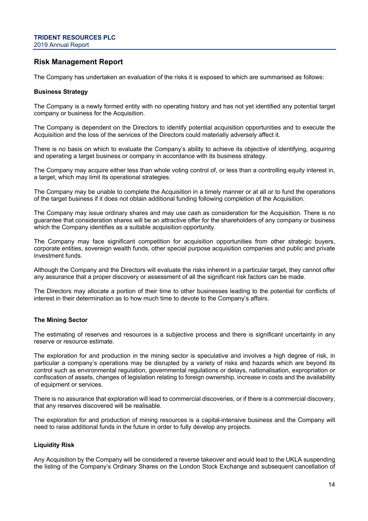# **Risk Management Report**

The Company has undertaken an evaluation of the risks it is exposed to which are summarised as follows:

#### **Business Strategy**

The Company is a newly formed entity with no operating history and has not yet identified any potential target company or business for the Acquisition.

The Company is dependent on the Directors to identify potential acquisition opportunities and to execute the Acquisition and the loss of the services of the Directors could materially adversely affect it.

There is no basis on which to evaluate the Company's ability to achieve its objective of identifying, acquiring and operating a target business or company in accordance with its business strategy.

The Company may acquire either less than whole voting control of, or less than a controlling equity interest in, a target, which may limit its operational strategies.

The Company may be unable to complete the Acquisition in a timely manner or at all or to fund the operations of the target business if it does not obtain additional funding following completion of the Acquisition.

The Company may issue ordinary shares and may use cash as consideration for the Acquisition. There is no guarantee that consideration shares will be an attractive offer for the shareholders of any company or business which the Company identifies as a suitable acquisition opportunity.

The Company may face significant competition for acquisition opportunities from other strategic buyers, corporate entities, sovereign wealth funds, other special purpose acquisition companies and public and private investment funds.

Although the Company and the Directors will evaluate the risks inherent in a particular target, they cannot offer any assurance that a proper discovery or assessment of all the significant risk factors can be made.

The Directors may allocate a portion of their time to other businesses leading to the potential for conflicts of interest in their determination as to how much time to devote to the Company's affairs.

# **The Mining Sector**

The estimating of reserves and resources is a subjective process and there is significant uncertainty in any reserve or resource estimate.

The exploration for and production in the mining sector is speculative and involves a high degree of risk, in particular a company's operations may be disrupted by a variety of risks and hazards which are beyond its control such as environmental regulation, governmental regulations or delays, nationalisation, expropriation or confiscation of assets, changes of legislation relating to foreign ownership, increase in costs and the availability of equipment or services.

There is no assurance that exploration will lead to commercial discoveries, or if there is a commercial discovery, that any reserves discovered will be realisable.

The exploration for and production of mining resources is a capital-intensive business and the Company will need to raise additional funds in the future in order to fully develop any projects.

# **Liquidity Risk**

Any Acquisition by the Company will be considered a reverse takeover and would lead to the UKLA suspending the listing of the Company's Ordinary Shares on the London Stock Exchange and subsequent cancellation of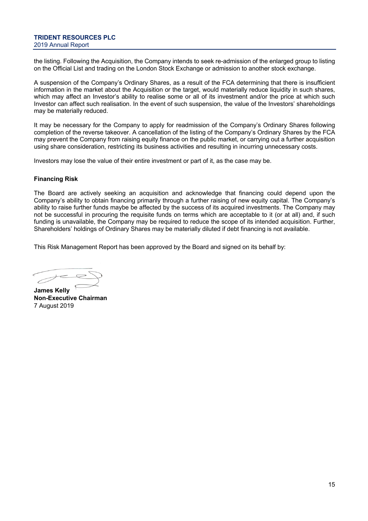the listing. Following the Acquisition, the Company intends to seek re-admission of the enlarged group to listing on the Official List and trading on the London Stock Exchange or admission to another stock exchange.

A suspension of the Company's Ordinary Shares, as a result of the FCA determining that there is insufficient information in the market about the Acquisition or the target, would materially reduce liquidity in such shares, which may affect an Investor's ability to realise some or all of its investment and/or the price at which such Investor can affect such realisation. In the event of such suspension, the value of the Investors' shareholdings may be materially reduced.

It may be necessary for the Company to apply for readmission of the Company's Ordinary Shares following completion of the reverse takeover. A cancellation of the listing of the Company's Ordinary Shares by the FCA may prevent the Company from raising equity finance on the public market, or carrying out a further acquisition using share consideration, restricting its business activities and resulting in incurring unnecessary costs.

Investors may lose the value of their entire investment or part of it, as the case may be.

#### **Financing Risk**

The Board are actively seeking an acquisition and acknowledge that financing could depend upon the Company's ability to obtain financing primarily through a further raising of new equity capital. The Company's ability to raise further funds maybe be affected by the success of its acquired investments. The Company may not be successful in procuring the requisite funds on terms which are acceptable to it (or at all) and, if such funding is unavailable, the Company may be required to reduce the scope of its intended acquisition. Further, Shareholders' holdings of Ordinary Shares may be materially diluted if debt financing is not available.

This Risk Management Report has been approved by the Board and signed on its behalf by:

**James Kelly Non-Executive Chairman** 7 August 2019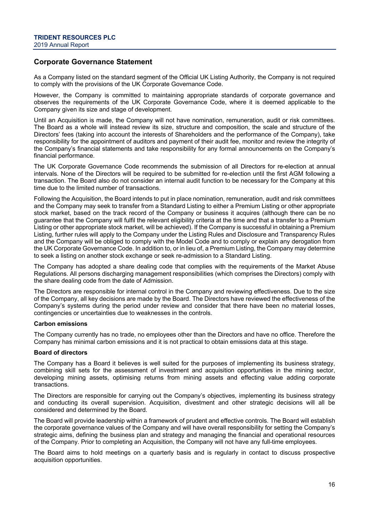# **Corporate Governance Statement**

As a Company listed on the standard segment of the Official UK Listing Authority, the Company is not required to comply with the provisions of the UK Corporate Governance Code.

However, the Company is committed to maintaining appropriate standards of corporate governance and observes the requirements of the UK Corporate Governance Code, where it is deemed applicable to the Company given its size and stage of development.

Until an Acquisition is made, the Company will not have nomination, remuneration, audit or risk committees. The Board as a whole will instead review its size, structure and composition, the scale and structure of the Directors' fees (taking into account the interests of Shareholders and the performance of the Company), take responsibility for the appointment of auditors and payment of their audit fee, monitor and review the integrity of the Company's financial statements and take responsibility for any formal announcements on the Company's financial performance.

The UK Corporate Governance Code recommends the submission of all Directors for re-election at annual intervals. None of the Directors will be required to be submitted for re-election until the first AGM following a transaction. The Board also do not consider an internal audit function to be necessary for the Company at this time due to the limited number of transactions.

Following the Acquisition, the Board intends to put in place nomination, remuneration, audit and risk committees and the Company may seek to transfer from a Standard Listing to either a Premium Listing or other appropriate stock market, based on the track record of the Company or business it acquires (although there can be no guarantee that the Company will fulfil the relevant eligibility criteria at the time and that a transfer to a Premium Listing or other appropriate stock market, will be achieved). If the Company is successful in obtaining a Premium Listing, further rules will apply to the Company under the Listing Rules and Disclosure and Transparency Rules and the Company will be obliged to comply with the Model Code and to comply or explain any derogation from the UK Corporate Governance Code. In addition to, or in lieu of, a Premium Listing, the Company may determine to seek a listing on another stock exchange or seek re-admission to a Standard Listing.

The Company has adopted a share dealing code that complies with the requirements of the Market Abuse Regulations. All persons discharging management responsibilities (which comprises the Directors) comply with the share dealing code from the date of Admission.

The Directors are responsible for internal control in the Company and reviewing effectiveness. Due to the size of the Company, all key decisions are made by the Board. The Directors have reviewed the effectiveness of the Company's systems during the period under review and consider that there have been no material losses, contingencies or uncertainties due to weaknesses in the controls.

#### **Carbon emissions**

The Company currently has no trade, no employees other than the Directors and have no office. Therefore the Company has minimal carbon emissions and it is not practical to obtain emissions data at this stage.

#### **Board of directors**

The Company has a Board it believes is well suited for the purposes of implementing its business strategy, combining skill sets for the assessment of investment and acquisition opportunities in the mining sector, developing mining assets, optimising returns from mining assets and effecting value adding corporate transactions.

The Directors are responsible for carrying out the Company's objectives, implementing its business strategy and conducting its overall supervision. Acquisition, divestment and other strategic decisions will all be considered and determined by the Board.

The Board will provide leadership within a framework of prudent and effective controls. The Board will establish the corporate governance values of the Company and will have overall responsibility for setting the Company's strategic aims, defining the business plan and strategy and managing the financial and operational resources of the Company. Prior to completing an Acquisition, the Company will not have any full-time employees.

The Board aims to hold meetings on a quarterly basis and is regularly in contact to discuss prospective acquisition opportunities.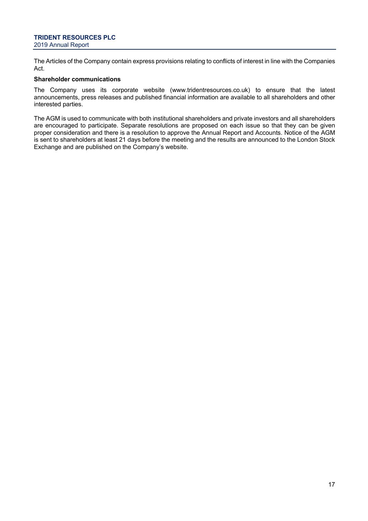The Articles of the Company contain express provisions relating to conflicts of interest in line with the Companies Act.

#### **Shareholder communications**

The Company uses its corporate website (www.tridentresources.co.uk) to ensure that the latest announcements, press releases and published financial information are available to all shareholders and other interested parties.

The AGM is used to communicate with both institutional shareholders and private investors and all shareholders are encouraged to participate. Separate resolutions are proposed on each issue so that they can be given proper consideration and there is a resolution to approve the Annual Report and Accounts. Notice of the AGM is sent to shareholders at least 21 days before the meeting and the results are announced to the London Stock Exchange and are published on the Company's website.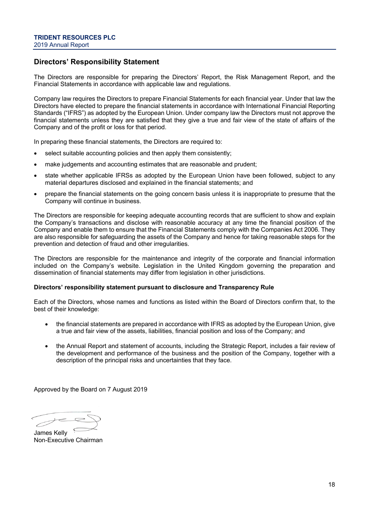# **Directors' Responsibility Statement**

The Directors are responsible for preparing the Directors' Report, the Risk Management Report, and the Financial Statements in accordance with applicable law and regulations.

Company law requires the Directors to prepare Financial Statements for each financial year. Under that law the Directors have elected to prepare the financial statements in accordance with International Financial Reporting Standards ("IFRS") as adopted by the European Union. Under company law the Directors must not approve the financial statements unless they are satisfied that they give a true and fair view of the state of affairs of the Company and of the profit or loss for that period.

In preparing these financial statements, the Directors are required to:

- select suitable accounting policies and then apply them consistently;
- make judgements and accounting estimates that are reasonable and prudent;
- state whether applicable IFRSs as adopted by the European Union have been followed, subject to any material departures disclosed and explained in the financial statements; and
- prepare the financial statements on the going concern basis unless it is inappropriate to presume that the Company will continue in business.

The Directors are responsible for keeping adequate accounting records that are sufficient to show and explain the Company's transactions and disclose with reasonable accuracy at any time the financial position of the Company and enable them to ensure that the Financial Statements comply with the Companies Act 2006. They are also responsible for safeguarding the assets of the Company and hence for taking reasonable steps for the prevention and detection of fraud and other irregularities.

The Directors are responsible for the maintenance and integrity of the corporate and financial information included on the Company's website. Legislation in the United Kingdom governing the preparation and dissemination of financial statements may differ from legislation in other jurisdictions.

#### **Directors' responsibility statement pursuant to disclosure and Transparency Rule**

Each of the Directors, whose names and functions as listed within the Board of Directors confirm that, to the best of their knowledge:

- the financial statements are prepared in accordance with IFRS as adopted by the European Union, give a true and fair view of the assets, liabilities, financial position and loss of the Company; and
- the Annual Report and statement of accounts, including the Strategic Report, includes a fair review of the development and performance of the business and the position of the Company, together with a description of the principal risks and uncertainties that they face.

Approved by the Board on 7 August 2019

James Kelly Non-Executive Chairman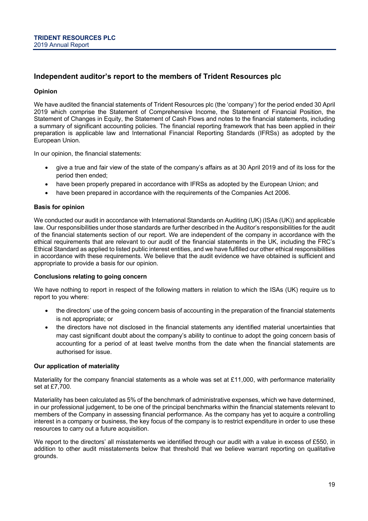# **Independent auditor's report to the members of Trident Resources plc**

#### **Opinion**

We have audited the financial statements of Trident Resources plc (the 'company') for the period ended 30 April 2019 which comprise the Statement of Comprehensive Income, the Statement of Financial Position, the Statement of Changes in Equity, the Statement of Cash Flows and notes to the financial statements, including a summary of significant accounting policies. The financial reporting framework that has been applied in their preparation is applicable law and International Financial Reporting Standards (IFRSs) as adopted by the European Union.

In our opinion, the financial statements:

- give a true and fair view of the state of the company's affairs as at 30 April 2019 and of its loss for the period then ended;
- have been properly prepared in accordance with IFRSs as adopted by the European Union; and
- have been prepared in accordance with the requirements of the Companies Act 2006.

#### **Basis for opinion**

We conducted our audit in accordance with International Standards on Auditing (UK) (ISAs (UK)) and applicable law. Our responsibilities under those standards are further described in the Auditor's responsibilities for the audit of the financial statements section of our report. We are independent of the company in accordance with the ethical requirements that are relevant to our audit of the financial statements in the UK, including the FRC's Ethical Standard as applied to listed public interest entities, and we have fulfilled our other ethical responsibilities in accordance with these requirements. We believe that the audit evidence we have obtained is sufficient and appropriate to provide a basis for our opinion.

#### **Conclusions relating to going concern**

We have nothing to report in respect of the following matters in relation to which the ISAs (UK) require us to report to you where:

- the directors' use of the going concern basis of accounting in the preparation of the financial statements is not appropriate; or
- the directors have not disclosed in the financial statements any identified material uncertainties that may cast significant doubt about the company's ability to continue to adopt the going concern basis of accounting for a period of at least twelve months from the date when the financial statements are authorised for issue.

#### **Our application of materiality**

Materiality for the company financial statements as a whole was set at £11,000, with performance materiality set at £7,700.

Materiality has been calculated as 5% of the benchmark of administrative expenses, which we have determined, in our professional judgement, to be one of the principal benchmarks within the financial statements relevant to members of the Company in assessing financial performance. As the company has yet to acquire a controlling interest in a company or business, the key focus of the company is to restrict expenditure in order to use these resources to carry out a future acquisition.

We report to the directors' all misstatements we identified through our audit with a value in excess of £550, in addition to other audit misstatements below that threshold that we believe warrant reporting on qualitative grounds.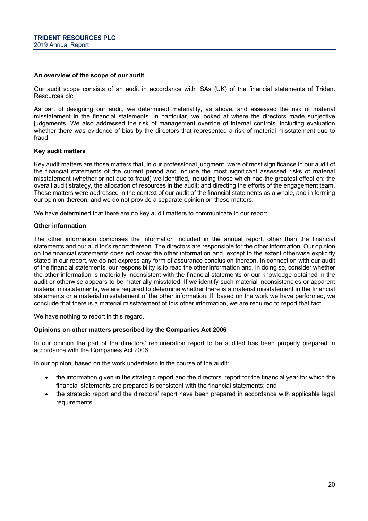#### **An overview of the scope of our audit**

Our audit scope consists of an audit in accordance with ISAs (UK) of the financial statements of Trident Resources plc.

As part of designing our audit, we determined materiality, as above, and assessed the risk of material misstatement in the financial statements. In particular, we looked at where the directors made subjective judgements. We also addressed the risk of management override of internal controls, including evaluation whether there was evidence of bias by the directors that represented a risk of material misstatement due to fraud.

#### **Key audit matters**

Key audit matters are those matters that, in our professional judgment, were of most significance in our audit of the financial statements of the current period and include the most significant assessed risks of material misstatement (whether or not due to fraud) we identified, including those which had the greatest effect on: the overall audit strategy, the allocation of resources in the audit; and directing the efforts of the engagement team. These matters were addressed in the context of our audit of the financial statements as a whole, and in forming our opinion thereon, and we do not provide a separate opinion on these matters.

We have determined that there are no key audit matters to communicate in our report.

#### **Other information**

The other information comprises the information included in the annual report, other than the financial statements and our auditor's report thereon. The directors are responsible for the other information. Our opinion on the financial statements does not cover the other information and, except to the extent otherwise explicitly stated in our report, we do not express any form of assurance conclusion thereon. In connection with our audit of the financial statements, our responsibility is to read the other information and, in doing so, consider whether the other information is materially inconsistent with the financial statements or our knowledge obtained in the audit or otherwise appears to be materially misstated. If we identify such material inconsistencies or apparent material misstatements, we are required to determine whether there is a material misstatement in the financial statements or a material misstatement of the other information. If, based on the work we have performed, we conclude that there is a material misstatement of this other information, we are required to report that fact.

We have nothing to report in this regard.

# **Opinions on other matters prescribed by the Companies Act 2006**

In our opinion the part of the directors' remuneration report to be audited has been properly prepared in accordance with the Companies Act 2006.

In our opinion, based on the work undertaken in the course of the audit:

- the information given in the strategic report and the directors' report for the financial year for which the financial statements are prepared is consistent with the financial statements; and
- the strategic report and the directors' report have been prepared in accordance with applicable legal requirements.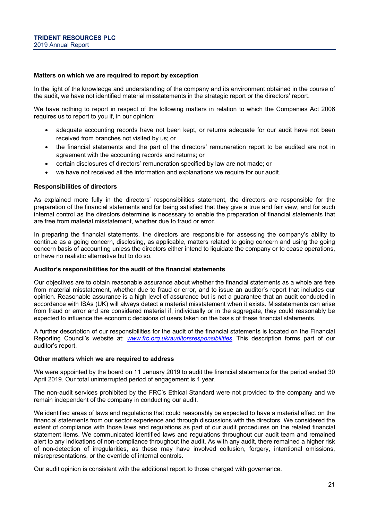#### **Matters on which we are required to report by exception**

In the light of the knowledge and understanding of the company and its environment obtained in the course of the audit, we have not identified material misstatements in the strategic report or the directors' report.

We have nothing to report in respect of the following matters in relation to which the Companies Act 2006 requires us to report to you if, in our opinion:

- adequate accounting records have not been kept, or returns adequate for our audit have not been received from branches not visited by us; or
- the financial statements and the part of the directors' remuneration report to be audited are not in agreement with the accounting records and returns; or
- certain disclosures of directors' remuneration specified by law are not made; or
- we have not received all the information and explanations we require for our audit.

#### **Responsibilities of directors**

As explained more fully in the directors' responsibilities statement, the directors are responsible for the preparation of the financial statements and for being satisfied that they give a true and fair view, and for such internal control as the directors determine is necessary to enable the preparation of financial statements that are free from material misstatement, whether due to fraud or error.

In preparing the financial statements, the directors are responsible for assessing the company's ability to continue as a going concern, disclosing, as applicable, matters related to going concern and using the going concern basis of accounting unless the directors either intend to liquidate the company or to cease operations, or have no realistic alternative but to do so.

#### **Auditor's responsibilities for the audit of the financial statements**

Our objectives are to obtain reasonable assurance about whether the financial statements as a whole are free from material misstatement, whether due to fraud or error, and to issue an auditor's report that includes our opinion. Reasonable assurance is a high level of assurance but is not a guarantee that an audit conducted in accordance with ISAs (UK) will always detect a material misstatement when it exists. Misstatements can arise from fraud or error and are considered material if, individually or in the aggregate, they could reasonably be expected to influence the economic decisions of users taken on the basis of these financial statements.

A further description of our responsibilities for the audit of the financial statements is located on the Financial Reporting Council's website at: *www.frc.org.uk/auditorsresponsibilities*. This description forms part of our auditor's report.

#### **Other matters which we are required to address**

We were appointed by the board on 11 January 2019 to audit the financial statements for the period ended 30 April 2019. Our total uninterrupted period of engagement is 1 year.

The non-audit services prohibited by the FRC's Ethical Standard were not provided to the company and we remain independent of the company in conducting our audit.

We identified areas of laws and regulations that could reasonably be expected to have a material effect on the financial statements from our sector experience and through discussions with the directors. We considered the extent of compliance with those laws and regulations as part of our audit procedures on the related financial statement items. We communicated identified laws and regulations throughout our audit team and remained alert to any indications of non-compliance throughout the audit. As with any audit, there remained a higher risk of non-detection of irregularities, as these may have involved collusion, forgery, intentional omissions, misrepresentations, or the override of internal controls.

Our audit opinion is consistent with the additional report to those charged with governance.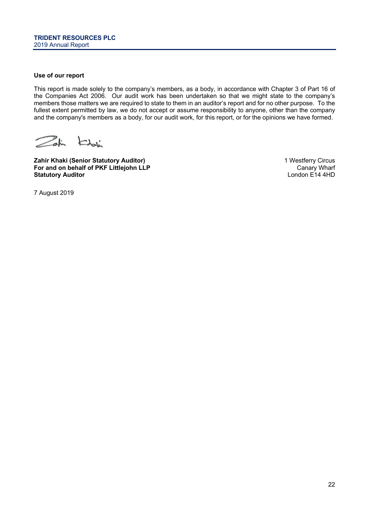#### **Use of our report**

This report is made solely to the company's members, as a body, in accordance with Chapter 3 of Part 16 of the Companies Act 2006. Our audit work has been undertaken so that we might state to the company's members those matters we are required to state to them in an auditor's report and for no other purpose. To the fullest extent permitted by law, we do not accept or assume responsibility to anyone, other than the company and the company's members as a body, for our audit work, for this report, or for the opinions we have formed.

 $\mathbb{Z}$ din  $\sum_{\alpha}$ 

**Zahir Khaki (Senior Statutory Auditor)** 1 Westferry Circus **For and on behalf of PKF Littlejohn LLP**<br> **Statutory Auditor** Canary Wharf Statutory Auditor **CALL CONTEX CONTEX CONTEX CONTEX CONTEX CONTEX CONTEX CONTEX Statutory Auditor** 

7 August 2019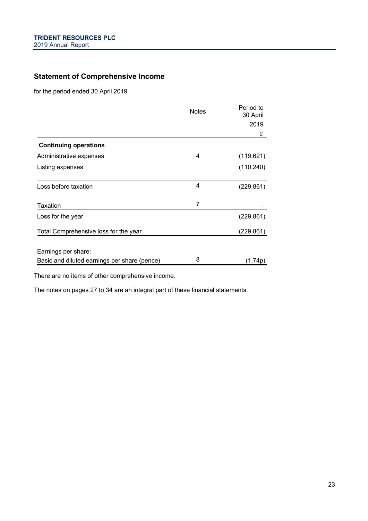# **Statement of Comprehensive Income**

for the period ended 30 April 2019

|                                              | <b>Notes</b> | Period to<br>30 April |
|----------------------------------------------|--------------|-----------------------|
|                                              |              | 2019                  |
|                                              |              | £                     |
| <b>Continuing operations</b>                 |              |                       |
| Administrative expenses                      | 4            | (119, 621)            |
| Listing expenses                             |              | (110, 240)            |
| Loss before taxation                         | 4            | (229, 861)            |
| Taxation                                     | 7            |                       |
| Loss for the year                            |              | (229,861)             |
| Total Comprehensive loss for the year        |              | (229,861)             |
| Earnings per share:                          |              |                       |
| Basic and diluted earnings per share (pence) | 8            | (1.74p)               |

There are no items of other comprehensive income.

The notes on pages 27 to 34 are an integral part of these financial statements.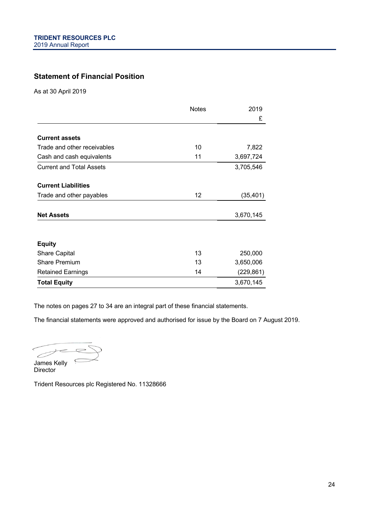# **Statement of Financial Position**

As at 30 April 2019

|                                 | <b>Notes</b>      | 2019       |
|---------------------------------|-------------------|------------|
|                                 |                   | £          |
| <b>Current assets</b>           |                   |            |
| Trade and other receivables     | 10                | 7,822      |
| Cash and cash equivalents       | 11                | 3,697,724  |
| <b>Current and Total Assets</b> |                   | 3,705,546  |
| <b>Current Liabilities</b>      |                   |            |
| Trade and other payables        | $12 \overline{ }$ | (35, 401)  |
| <b>Net Assets</b>               |                   | 3,670,145  |
| <b>Equity</b>                   |                   |            |
| <b>Share Capital</b>            | 13                | 250,000    |
| <b>Share Premium</b>            | 13                | 3,650,006  |
| <b>Retained Earnings</b>        | 14                | (229, 861) |
| <b>Total Equity</b>             |                   | 3,670,145  |

The notes on pages 27 to 34 are an integral part of these financial statements.

The financial statements were approved and authorised for issue by the Board on 7 August 2019.

 $\subset$ James Kelly

**Director** 

Trident Resources plc Registered No. 11328666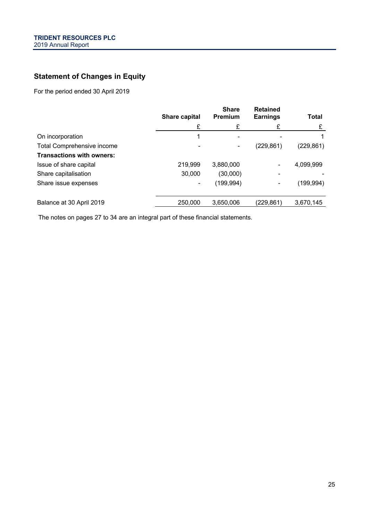# **Statement of Changes in Equity**

For the period ended 30 April 2019

|                                  | <b>Share capital</b> | <b>Share</b><br><b>Premium</b> | <b>Retained</b><br><b>Earnings</b> | Total      |
|----------------------------------|----------------------|--------------------------------|------------------------------------|------------|
|                                  | £                    | £                              | £                                  | £          |
| On incorporation                 |                      |                                |                                    |            |
| Total Comprehensive income       |                      |                                | (229, 861)                         | (229, 861) |
| <b>Transactions with owners:</b> |                      |                                |                                    |            |
| Issue of share capital           | 219,999              | 3,880,000                      |                                    | 4,099,999  |
| Share capitalisation             | 30,000               | (30,000)                       |                                    |            |
| Share issue expenses             |                      | (199, 994)                     |                                    | (199, 994) |
| Balance at 30 April 2019         | 250,000              | 3,650,006                      | (229,861)                          | 3,670,145  |
|                                  |                      |                                |                                    |            |

The notes on pages 27 to 34 are an integral part of these financial statements.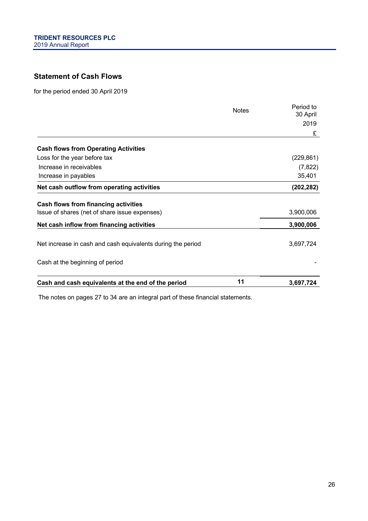# **Statement of Cash Flows**

for the period ended 30 April 2019

|                                                             | <b>Notes</b> | Period to<br>30 April |
|-------------------------------------------------------------|--------------|-----------------------|
|                                                             |              | 2019                  |
|                                                             |              | £                     |
| <b>Cash flows from Operating Activities</b>                 |              |                       |
| Loss for the year before tax                                |              | (229, 861)            |
| Increase in receivables                                     |              | (7, 822)              |
| Increase in payables                                        |              | 35,401                |
| Net cash outflow from operating activities                  |              | (202, 282)            |
| <b>Cash flows from financing activities</b>                 |              |                       |
| Issue of shares (net of share issue expenses)               |              | 3,900,006             |
| Net cash inflow from financing activities                   |              | 3,900,006             |
| Net increase in cash and cash equivalents during the period |              | 3,697,724             |
| Cash at the beginning of period                             |              |                       |
| Cash and cash equivalents at the end of the period          | 11           | 3,697,724             |

The notes on pages 27 to 34 are an integral part of these financial statements.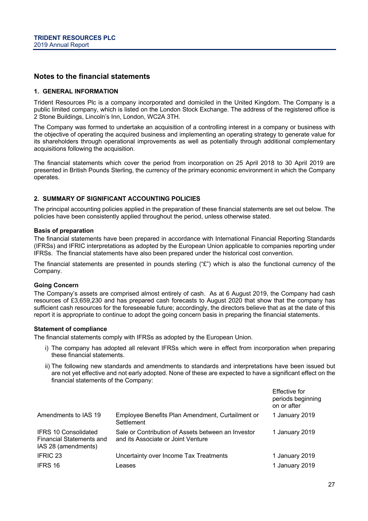# **Notes to the financial statements**

#### **1. GENERAL INFORMATION**

Trident Resources Plc is a company incorporated and domiciled in the United Kingdom. The Company is a public limited company, which is listed on the London Stock Exchange. The address of the registered office is 2 Stone Buildings, Lincoln's Inn, London, WC2A 3TH.

The Company was formed to undertake an acquisition of a controlling interest in a company or business with the objective of operating the acquired business and implementing an operating strategy to generate value for its shareholders through operational improvements as well as potentially through additional complementary acquisitions following the acquisition.

The financial statements which cover the period from incorporation on 25 April 2018 to 30 April 2019 are presented in British Pounds Sterling, the currency of the primary economic environment in which the Company operates.

#### **2. SUMMARY OF SIGNIFICANT ACCOUNTING POLICIES**

The principal accounting policies applied in the preparation of these financial statements are set out below. The policies have been consistently applied throughout the period, unless otherwise stated.

#### **Basis of preparation**

The financial statements have been prepared in accordance with International Financial Reporting Standards (IFRSs) and IFRIC interpretations as adopted by the European Union applicable to companies reporting under IFRSs. The financial statements have also been prepared under the historical cost convention.

The financial statements are presented in pounds sterling  $(\mathbb{E}^n)$  which is also the functional currency of the Company.

#### **Going Concern**

The Company's assets are comprised almost entirely of cash. As at 6 August 2019, the Company had cash resources of £3,659,230 and has prepared cash forecasts to August 2020 that show that the company has sufficient cash resources for the foreseeable future; accordingly, the directors believe that as at the date of this report it is appropriate to continue to adopt the going concern basis in preparing the financial statements.

#### **Statement of compliance**

The financial statements comply with IFRSs as adopted by the European Union.

- i) The company has adopted all relevant IFRSs which were in effect from incorporation when preparing these financial statements.
- ii) The following new standards and amendments to standards and interpretations have been issued but are not yet effective and not early adopted. None of these are expected to have a significant effect on the financial statements of the Company:

|                                                                                       |                                                                                          | <b>Effective for</b><br>periods beginning<br>on or after |
|---------------------------------------------------------------------------------------|------------------------------------------------------------------------------------------|----------------------------------------------------------|
| Amendments to IAS 19                                                                  | Employee Benefits Plan Amendment, Curtailment or<br>Settlement                           | 1 January 2019                                           |
| <b>IFRS 10 Consolidated</b><br><b>Financial Statements and</b><br>IAS 28 (amendments) | Sale or Contribution of Assets between an Investor<br>and its Associate or Joint Venture | 1 January 2019                                           |
| IFRIC <sub>23</sub>                                                                   | Uncertainty over Income Tax Treatments                                                   | 1 January 2019                                           |
| IFRS 16                                                                               | Leases                                                                                   | 1 January 2019                                           |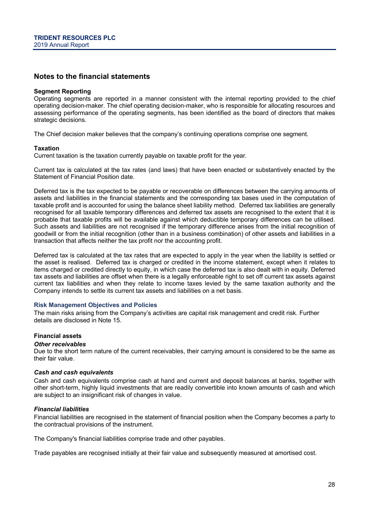# **Notes to the financial statements**

#### **Segment Reporting**

Operating segments are reported in a manner consistent with the internal reporting provided to the chief operating decision-maker. The chief operating decision-maker, who is responsible for allocating resources and assessing performance of the operating segments, has been identified as the board of directors that makes strategic decisions.

The Chief decision maker believes that the company's continuing operations comprise one segment.

#### **Taxation**

Current taxation is the taxation currently payable on taxable profit for the year.

Current tax is calculated at the tax rates (and laws) that have been enacted or substantively enacted by the Statement of Financial Position date.

Deferred tax is the tax expected to be payable or recoverable on differences between the carrying amounts of assets and liabilities in the financial statements and the corresponding tax bases used in the computation of taxable profit and is accounted for using the balance sheet liability method. Deferred tax liabilities are generally recognised for all taxable temporary differences and deferred tax assets are recognised to the extent that it is probable that taxable profits will be available against which deductible temporary differences can be utilised. Such assets and liabilities are not recognised if the temporary difference arises from the initial recognition of goodwill or from the initial recognition (other than in a business combination) of other assets and liabilities in a transaction that affects neither the tax profit nor the accounting profit.

Deferred tax is calculated at the tax rates that are expected to apply in the year when the liability is settled or the asset is realised. Deferred tax is charged or credited in the income statement, except when it relates to items charged or credited directly to equity, in which case the deferred tax is also dealt with in equity. Deferred tax assets and liabilities are offset when there is a legally enforceable right to set off current tax assets against current tax liabilities and when they relate to income taxes levied by the same taxation authority and the Company intends to settle its current tax assets and liabilities on a net basis.

#### **Risk Management Objectives and Policies**

The main risks arising from the Company's activities are capital risk management and credit risk. Further details are disclosed in Note 15.

# **Financial assets**

#### *Other receivables*

Due to the short term nature of the current receivables, their carrying amount is considered to be the same as their fair value.

#### *Cash and cash equivalents*

Cash and cash equivalents comprise cash at hand and current and deposit balances at banks, together with other short-term, highly liquid investments that are readily convertible into known amounts of cash and which are subject to an insignificant risk of changes in value.

#### *Financial liabilities*

Financial liabilities are recognised in the statement of financial position when the Company becomes a party to the contractual provisions of the instrument.

The Company's financial liabilities comprise trade and other payables.

Trade payables are recognised initially at their fair value and subsequently measured at amortised cost.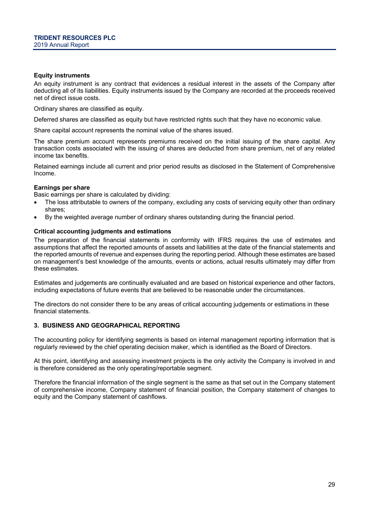#### **Equity instruments**

An equity instrument is any contract that evidences a residual interest in the assets of the Company after deducting all of its liabilities. Equity instruments issued by the Company are recorded at the proceeds received net of direct issue costs.

Ordinary shares are classified as equity.

Deferred shares are classified as equity but have restricted rights such that they have no economic value.

Share capital account represents the nominal value of the shares issued.

The share premium account represents premiums received on the initial issuing of the share capital. Any transaction costs associated with the issuing of shares are deducted from share premium, net of any related income tax benefits.

Retained earnings include all current and prior period results as disclosed in the Statement of Comprehensive Income.

#### **Earnings per share**

Basic earnings per share is calculated by dividing:

- The loss attributable to owners of the company, excluding any costs of servicing equity other than ordinary shares;
- By the weighted average number of ordinary shares outstanding during the financial period.

#### **Critical accounting judgments and estimations**

The preparation of the financial statements in conformity with IFRS requires the use of estimates and assumptions that affect the reported amounts of assets and liabilities at the date of the financial statements and the reported amounts of revenue and expenses during the reporting period. Although these estimates are based on management's best knowledge of the amounts, events or actions, actual results ultimately may differ from these estimates.

Estimates and judgements are continually evaluated and are based on historical experience and other factors, including expectations of future events that are believed to be reasonable under the circumstances.

The directors do not consider there to be any areas of critical accounting judgements or estimations in these financial statements.

# **3. BUSINESS AND GEOGRAPHICAL REPORTING**

The accounting policy for identifying segments is based on internal management reporting information that is regularly reviewed by the chief operating decision maker, which is identified as the Board of Directors.

At this point, identifying and assessing investment projects is the only activity the Company is involved in and is therefore considered as the only operating/reportable segment.

Therefore the financial information of the single segment is the same as that set out in the Company statement of comprehensive income, Company statement of financial position, the Company statement of changes to equity and the Company statement of cashflows.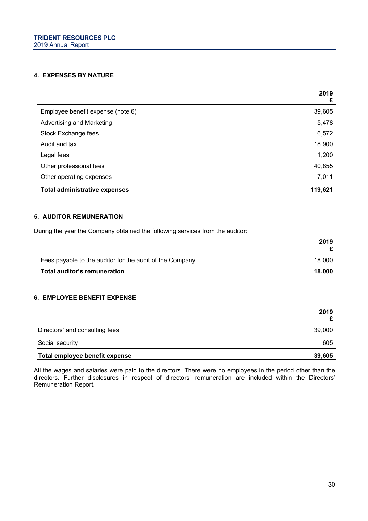# **4. EXPENSES BY NATURE**

|                                      | 2019<br>£ |
|--------------------------------------|-----------|
| Employee benefit expense (note 6)    | 39,605    |
| Advertising and Marketing            | 5,478     |
| Stock Exchange fees                  | 6,572     |
| Audit and tax                        | 18,900    |
| Legal fees                           | 1,200     |
| Other professional fees              | 40,855    |
| Other operating expenses             | 7,011     |
| <b>Total administrative expenses</b> | 119,621   |

# **5. AUDITOR REMUNERATION**

During the year the Company obtained the following services from the auditor:

|                                                          | 2019   |
|----------------------------------------------------------|--------|
| Fees payable to the auditor for the audit of the Company | 18,000 |
| Total auditor's remuneration                             | 18.000 |

# **6. EMPLOYEE BENEFIT EXPENSE**

|                                | 2019   |
|--------------------------------|--------|
| Directors' and consulting fees | 39,000 |
| Social security                | 605    |
| Total employee benefit expense | 39,605 |

All the wages and salaries were paid to the directors. There were no employees in the period other than the directors. Further disclosures in respect of directors' remuneration are included within the Directors' Remuneration Report.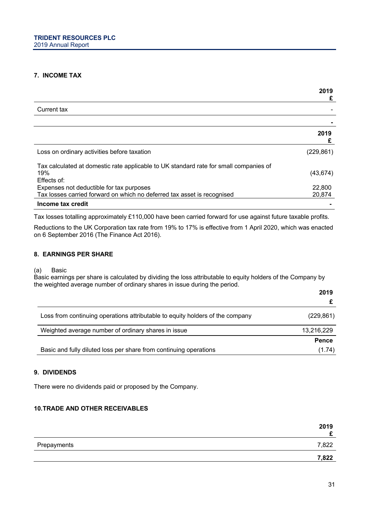# **7. INCOME TAX**

|                                                                                                                     | 2019<br>£        |
|---------------------------------------------------------------------------------------------------------------------|------------------|
| Current tax                                                                                                         |                  |
|                                                                                                                     |                  |
|                                                                                                                     | 2019             |
| Loss on ordinary activities before taxation                                                                         | (229, 861)       |
| Tax calculated at domestic rate applicable to UK standard rate for small companies of<br>19%<br>Effects of:         | (43, 674)        |
| Expenses not deductible for tax purposes<br>Tax losses carried forward on which no deferred tax asset is recognised | 22,800<br>20,874 |
| Income tax credit                                                                                                   |                  |

Tax losses totalling approximately £110,000 have been carried forward for use against future taxable profits.

Reductions to the UK Corporation tax rate from 19% to 17% is effective from 1 April 2020, which was enacted on 6 September 2016 (The Finance Act 2016).

# **8. EARNINGS PER SHARE**

#### (a) Basic

Basic earnings per share is calculated by dividing the loss attributable to equity holders of the Company by the weighted average number of ordinary shares in issue during the period.

|                                                                               | 2019         |
|-------------------------------------------------------------------------------|--------------|
|                                                                               |              |
| Loss from continuing operations attributable to equity holders of the company | (229, 861)   |
| Weighted average number of ordinary shares in issue                           | 13,216,229   |
|                                                                               | <b>Pence</b> |
| Basic and fully diluted loss per share from continuing operations             | (1.74)       |

# **9. DIVIDENDS**

There were no dividends paid or proposed by the Company.

# **10.TRADE AND OTHER RECEIVABLES**

|                                                                                                | 2019<br>~ |
|------------------------------------------------------------------------------------------------|-----------|
| Prepayments<br>the contract of the contract of the contract of the contract of the contract of | 7,822     |
|                                                                                                | 7,822     |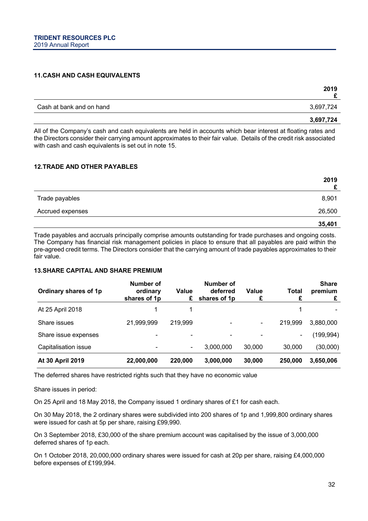# **11.CASH AND CASH EQUIVALENTS**

|                          | 2019      |
|--------------------------|-----------|
|                          | £         |
| Cash at bank and on hand | 3,697,724 |
|                          | 3,697,724 |

All of the Company's cash and cash equivalents are held in accounts which bear interest at floating rates and the Directors consider their carrying amount approximates to their fair value. Details of the credit risk associated with cash and cash equivalents is set out in note 15.

# **12.TRADE AND OTHER PAYABLES**

|                  | 2019<br>£ |
|------------------|-----------|
| Trade payables   | 8,901     |
| Accrued expenses | 26,500    |
|                  | 35,401    |

Trade payables and accruals principally comprise amounts outstanding for trade purchases and ongoing costs. The Company has financial risk management policies in place to ensure that all payables are paid within the pre-agreed credit terms. The Directors consider that the carrying amount of trade payables approximates to their fair value.

# **13.SHARE CAPITAL AND SHARE PREMIUM**

| Ordinary shares of 1p | Number of<br>ordinary<br>shares of 1p | Value<br>£ | Number of<br>deferred<br>shares of 1p | Value<br>£     | Total<br>£               | <b>Share</b><br>premium<br>£ |
|-----------------------|---------------------------------------|------------|---------------------------------------|----------------|--------------------------|------------------------------|
| At 25 April 2018      |                                       |            |                                       |                |                          |                              |
| Share issues          | 21,999,999                            | 219,999    |                                       | $\blacksquare$ | 219,999                  | 3,880,000                    |
| Share issue expenses  |                                       | -          |                                       | $\,$           | $\overline{\phantom{a}}$ | (199,994)                    |
| Capitalisation issue  |                                       | -          | 3,000,000                             | 30,000         | 30,000                   | (30,000)                     |
| At 30 April 2019      | 22,000,000                            | 220,000    | 3,000,000                             | 30,000         | 250,000                  | 3,650,006                    |

The deferred shares have restricted rights such that they have no economic value

Share issues in period:

On 25 April and 18 May 2018, the Company issued 1 ordinary shares of £1 for cash each.

On 30 May 2018, the 2 ordinary shares were subdivided into 200 shares of 1p and 1,999,800 ordinary shares were issued for cash at 5p per share, raising £99,990.

On 3 September 2018, £30,000 of the share premium account was capitalised by the issue of 3,000,000 deferred shares of 1p each.

On 1 October 2018, 20,000,000 ordinary shares were issued for cash at 20p per share, raising £4,000,000 before expenses of £199,994.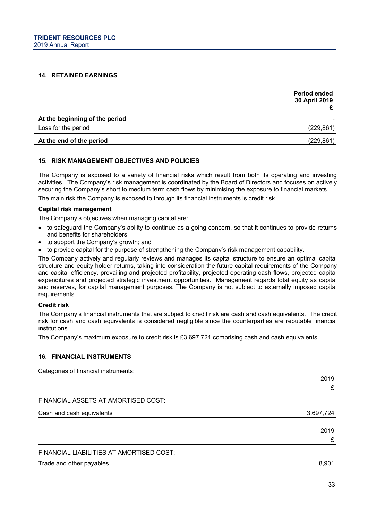#### **14. RETAINED EARNINGS**

|                                | <b>Period ended</b><br>30 April 2019 |
|--------------------------------|--------------------------------------|
| At the beginning of the period |                                      |
| Loss for the period            | (229, 861)                           |
| At the end of the period       | (229, 861)                           |

#### **15. RISK MANAGEMENT OBJECTIVES AND POLICIES**

The Company is exposed to a variety of financial risks which result from both its operating and investing activities. The Company's risk management is coordinated by the Board of Directors and focuses on actively securing the Company's short to medium term cash flows by minimising the exposure to financial markets. The main risk the Company is exposed to through its financial instruments is credit risk.

#### **Capital risk management**

The Company's objectives when managing capital are:

- to safeguard the Company's ability to continue as a going concern, so that it continues to provide returns and benefits for shareholders;
- to support the Company's growth; and
- to provide capital for the purpose of strengthening the Company's risk management capability.

The Company actively and regularly reviews and manages its capital structure to ensure an optimal capital structure and equity holder returns, taking into consideration the future capital requirements of the Company and capital efficiency, prevailing and projected profitability, projected operating cash flows, projected capital expenditures and projected strategic investment opportunities. Management regards total equity as capital and reserves, for capital management purposes. The Company is not subject to externally imposed capital requirements.

#### **Credit risk**

The Company's financial instruments that are subject to credit risk are cash and cash equivalents. The credit risk for cash and cash equivalents is considered negligible since the counterparties are reputable financial institutions.

The Company's maximum exposure to credit risk is £3,697,724 comprising cash and cash equivalents.

#### **16. FINANCIAL INSTRUMENTS**

| Categories of financial instruments:     |           |
|------------------------------------------|-----------|
|                                          | 2019      |
|                                          | £         |
| FINANCIAL ASSETS AT AMORTISED COST:      |           |
| Cash and cash equivalents                | 3,697,724 |
|                                          | 2019      |
|                                          | £         |
| FINANCIAL LIABILITIES AT AMORTISED COST: |           |
| Trade and other payables                 | 8,901     |
|                                          |           |